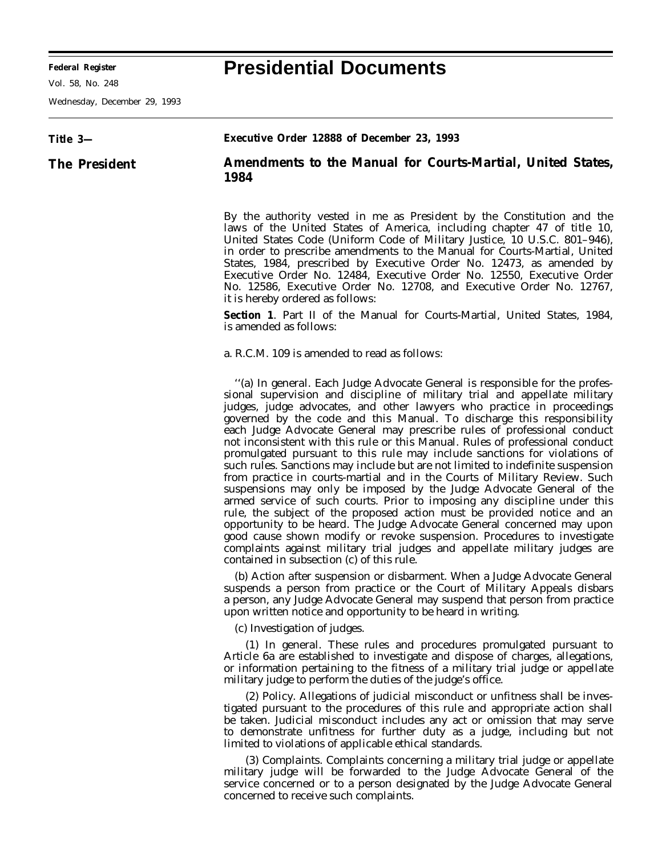**Federal Register Presidential Documents**

Vol. 58, No. 248

Wednesday, December 29, 1993

| Title 3-             | Executive Order 12888 of December 23, 1993                                                                                                                                                                                                                                                                                                                                                                                                                                                                                                                                                                                                                                                                                                                                                                                                                                                                                                                                                                                                                                                                                                                                                                                             |
|----------------------|----------------------------------------------------------------------------------------------------------------------------------------------------------------------------------------------------------------------------------------------------------------------------------------------------------------------------------------------------------------------------------------------------------------------------------------------------------------------------------------------------------------------------------------------------------------------------------------------------------------------------------------------------------------------------------------------------------------------------------------------------------------------------------------------------------------------------------------------------------------------------------------------------------------------------------------------------------------------------------------------------------------------------------------------------------------------------------------------------------------------------------------------------------------------------------------------------------------------------------------|
| <b>The President</b> | Amendments to the Manual for Courts-Martial, United States,<br>1984                                                                                                                                                                                                                                                                                                                                                                                                                                                                                                                                                                                                                                                                                                                                                                                                                                                                                                                                                                                                                                                                                                                                                                    |
|                      | By the authority vested in me as President by the Constitution and the<br>laws of the United States of America, including chapter 47 of title 10,<br>United States Code (Uniform Code of Military Justice, 10 U.S.C. 801-946),<br>in order to prescribe amendments to the Manual for Courts-Martial, United<br>States, 1984, prescribed by Executive Order No. 12473, as amended by<br>Executive Order No. 12484, Executive Order No. 12550, Executive Order<br>No. 12586, Executive Order No. 12708, and Executive Order No. 12767,<br>it is hereby ordered as follows:                                                                                                                                                                                                                                                                                                                                                                                                                                                                                                                                                                                                                                                               |
|                      | <b>Section 1.</b> Part II of the Manual for Courts-Martial, United States, 1984,<br>is amended as follows:                                                                                                                                                                                                                                                                                                                                                                                                                                                                                                                                                                                                                                                                                                                                                                                                                                                                                                                                                                                                                                                                                                                             |
|                      | a. R.C.M. 109 is amended to read as follows:                                                                                                                                                                                                                                                                                                                                                                                                                                                                                                                                                                                                                                                                                                                                                                                                                                                                                                                                                                                                                                                                                                                                                                                           |
|                      | "(a) In general. Each Judge Advocate General is responsible for the profes-<br>sional supervision and discipline of military trial and appellate military<br>judges, judge advocates, and other lawyers who practice in proceedings<br>governed by the code and this Manual. To discharge this responsibility<br>each Judge Advocate General may prescribe rules of professional conduct<br>not inconsistent with this rule or this Manual. Rules of professional conduct<br>promulgated pursuant to this rule may include sanctions for violations of<br>such rules. Sanctions may include but are not limited to indefinite suspension<br>from practice in courts-martial and in the Courts of Military Review. Such<br>suspensions may only be imposed by the Judge Advocate General of the<br>armed service of such courts. Prior to imposing any discipline under this<br>rule, the subject of the proposed action must be provided notice and an<br>opportunity to be heard. The Judge Advocate General concerned may upon<br>good cause shown modify or revoke suspension. Procedures to investigate<br>complaints against military trial judges and appellate military judges are<br>contained in subsection (c) of this rule. |
|                      | (b) Action after suspension or disbarment. When a Judge Advocate General<br>suspends a person from practice or the Court of Military Appeals disbars<br>a person, any Judge Advocate General may suspend that person from practice<br>upon written notice and opportunity to be heard in writing.                                                                                                                                                                                                                                                                                                                                                                                                                                                                                                                                                                                                                                                                                                                                                                                                                                                                                                                                      |
|                      | (c) Investigation of judges.                                                                                                                                                                                                                                                                                                                                                                                                                                                                                                                                                                                                                                                                                                                                                                                                                                                                                                                                                                                                                                                                                                                                                                                                           |
|                      | (1) In general. These rules and procedures promulgated pursuant to<br>Article 6a are established to investigate and dispose of charges, allegations,<br>or information pertaining to the fitness of a military trial judge or appellate<br>military judge to perform the duties of the judge's office.                                                                                                                                                                                                                                                                                                                                                                                                                                                                                                                                                                                                                                                                                                                                                                                                                                                                                                                                 |
|                      | (2) Policy. Allegations of judicial misconduct or unfitness shall be inves-<br>tigated pursuant to the procedures of this rule and appropriate action shall<br>be taken. Judicial misconduct includes any act or omission that may serve<br>to demonstrate unfitness for further duty as a judge, including but not<br>limited to violations of applicable ethical standards.                                                                                                                                                                                                                                                                                                                                                                                                                                                                                                                                                                                                                                                                                                                                                                                                                                                          |
|                      | (3) Complaints. Complaints concerning a military trial judge or appellate<br>military judge will be forwarded to the Judge Advocate General of the<br>service concerned or to a person designated by the Judge Advocate General                                                                                                                                                                                                                                                                                                                                                                                                                                                                                                                                                                                                                                                                                                                                                                                                                                                                                                                                                                                                        |

concerned to receive such complaints.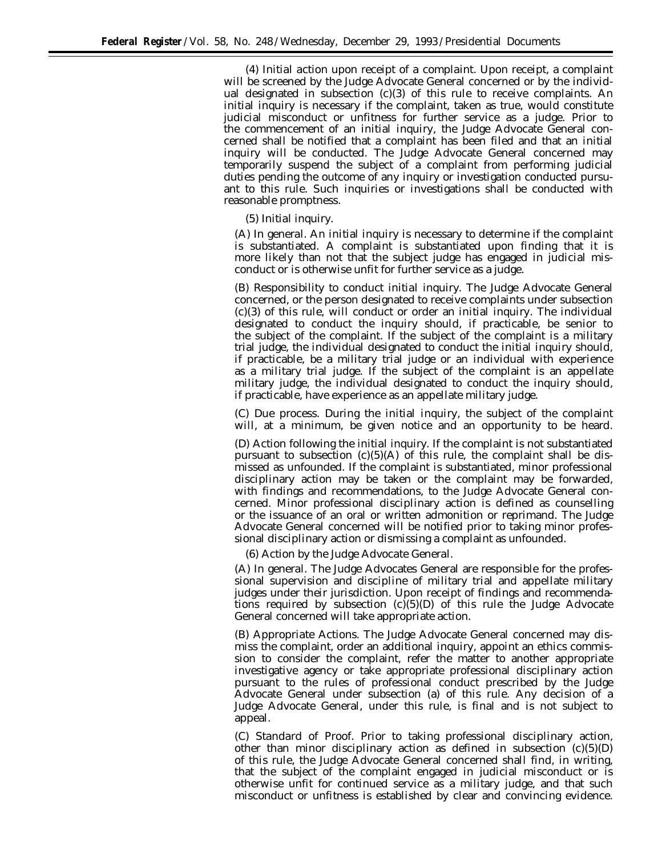(4) *Initial action upon receipt of a complaint*. Upon receipt, a complaint will be screened by the Judge Advocate General concerned or by the individual designated in subsection  $(c)(3)$  of this rule to receive complaints. An initial inquiry is necessary if the complaint, taken as true, would constitute judicial misconduct or unfitness for further service as a judge. Prior to the commencement of an initial inquiry, the Judge Advocate General concerned shall be notified that a complaint has been filed and that an initial inquiry will be conducted. The Judge Advocate General concerned may temporarily suspend the subject of a complaint from performing judicial duties pending the outcome of any inquiry or investigation conducted pursuant to this rule. Such inquiries or investigations shall be conducted with reasonable promptness.

(5) *Initial inquiry*.

(A) *In general*. An initial inquiry is necessary to determine if the complaint is substantiated. A complaint is substantiated upon finding that it is more likely than not that the subject judge has engaged in judicial misconduct or is otherwise unfit for further service as a judge.

(B) *Responsibility to conduct initial inquiry*. The Judge Advocate General concerned, or the person designated to receive complaints under subsection (c)(3) of this rule, will conduct or order an initial inquiry. The individual designated to conduct the inquiry should, if practicable, be senior to the subject of the complaint. If the subject of the complaint is a military trial judge, the individual designated to conduct the initial inquiry should, if practicable, be a military trial judge or an individual with experience as a military trial judge. If the subject of the complaint is an appellate military judge, the individual designated to conduct the inquiry should, if practicable, have experience as an appellate military judge.

(C) *Due process*. During the initial inquiry, the subject of the complaint will, at a minimum, be given notice and an opportunity to be heard.

(D) *Action following the initial inquiry*. If the complaint is not substantiated pursuant to subsection  $(c)(5)(A)$  of this rule, the complaint shall be dismissed as unfounded. If the complaint is substantiated, minor professional disciplinary action may be taken or the complaint may be forwarded, with findings and recommendations, to the Judge Advocate General concerned. Minor professional disciplinary action is defined as counselling or the issuance of an oral or written admonition or reprimand. The Judge Advocate General concerned will be notified prior to taking minor professional disciplinary action or dismissing a complaint as unfounded.

(6) *Action by the Judge Advocate General.*

(A) *In general*. The Judge Advocates General are responsible for the professional supervision and discipline of military trial and appellate military judges under their jurisdiction. Upon receipt of findings and recommendations required by subsection (c)(5)(D) of this rule the Judge Advocate General concerned will take appropriate action.

(B) *Appropriate Actions*. The Judge Advocate General concerned may dismiss the complaint, order an additional inquiry, appoint an ethics commission to consider the complaint, refer the matter to another appropriate investigative agency or take appropriate professional disciplinary action pursuant to the rules of professional conduct prescribed by the Judge Advocate General under subsection (a) of this rule. Any decision of a Judge Advocate General, under this rule, is final and is not subject to appeal.

(C) *Standard of Proof*. Prior to taking professional disciplinary action, other than minor disciplinary action as defined in subsection (c)(5)(D) of this rule, the Judge Advocate General concerned shall find, in writing, that the subject of the complaint engaged in judicial misconduct or is otherwise unfit for continued service as a military judge, and that such misconduct or unfitness is established by clear and convincing evidence.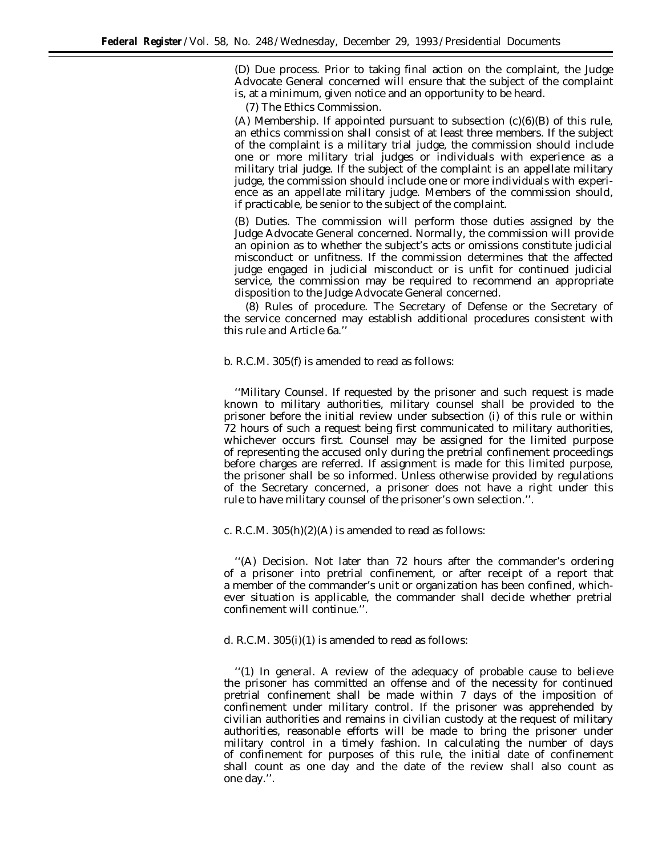(D) *Due process*. Prior to taking final action on the complaint, the Judge Advocate General concerned will ensure that the subject of the complaint is, at a minimum, given notice and an opportunity to be heard.

## (7) *The Ethics Commission*.

(A) *Membership*. If appointed pursuant to subsection  $(c)(6)(B)$  of this rule, an ethics commission shall consist of at least three members. If the subject of the complaint is a military trial judge, the commission should include one or more military trial judges or individuals with experience as a military trial judge. If the subject of the complaint is an appellate military judge, the commission should include one or more individuals with experience as an appellate military judge. Members of the commission should, if practicable, be senior to the subject of the complaint.

(B) *Duties*. The commission will perform those duties assigned by the Judge Advocate General concerned. Normally, the commission will provide an opinion as to whether the subject's acts or omissions constitute judicial misconduct or unfitness. If the commission determines that the affected judge engaged in judicial misconduct or is unfit for continued judicial service, the commission may be required to recommend an appropriate disposition to the Judge Advocate General concerned.

(8) *Rules of procedure*. The Secretary of Defense or the Secretary of the service concerned may establish additional procedures consistent with this rule and Article 6a.''

b. R.C.M. 305(f) is amended to read as follows:

*''Military Counsel*. If requested by the prisoner and such request is made known to military authorities, military counsel shall be provided to the prisoner before the initial review under subsection (i) of this rule or within 72 hours of such a request being first communicated to military authorities, whichever occurs first. Counsel may be assigned for the limited purpose of representing the accused only during the pretrial confinement proceedings before charges are referred. If assignment is made for this limited purpose, the prisoner shall be so informed. Unless otherwise provided by regulations of the Secretary concerned, a prisoner does not have a right under this rule to have military counsel of the prisoner's own selection.''.

c. R.C.M.  $305(h)(2)(A)$  is amended to read as follows:

''(A) *Decision*. Not later than 72 hours after the commander's ordering of a prisoner into pretrial confinement, or after receipt of a report that a member of the commander's unit or organization has been confined, whichever situation is applicable, the commander shall decide whether pretrial confinement will continue.''.

## d. R.C.M. 305(i)(1) is amended to read as follows:

''(1) *In general*. A review of the adequacy of probable cause to believe the prisoner has committed an offense and of the necessity for continued pretrial confinement shall be made within 7 days of the imposition of confinement under military control. If the prisoner was apprehended by civilian authorities and remains in civilian custody at the request of military authorities, reasonable efforts will be made to bring the prisoner under military control in a timely fashion. In calculating the number of days of confinement for purposes of this rule, the initial date of confinement shall count as one day and the date of the review shall also count as one day.''.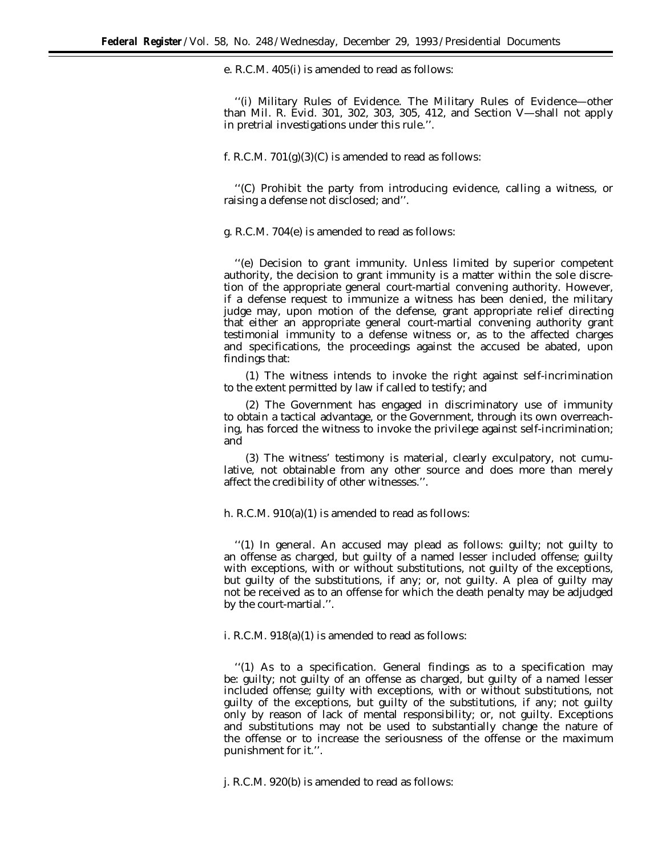e. R.C.M. 405(i) is amended to read as follows:

''(i) *Military Rules of Evidence*. The Military Rules of Evidence—other than Mil. R. Evid. 301, 302, 303, 305, 412, and Section V—shall not apply in pretrial investigations under this rule.''.

f. R.C.M.  $701(g)(3)(C)$  is amended to read as follows:

''(C) Prohibit the party from introducing evidence, calling a witness, or raising a defense not disclosed; and''.

g. R.C.M. 704(e) is amended to read as follows:

''(e) *Decision to grant immunity*. Unless limited by superior competent authority, the decision to grant immunity is a matter within the sole discretion of the appropriate general court-martial convening authority. However, if a defense request to immunize a witness has been denied, the military judge may, upon motion of the defense, grant appropriate relief directing that either an appropriate general court-martial convening authority grant testimonial immunity to a defense witness or, as to the affected charges and specifications, the proceedings against the accused be abated, upon findings that:

(1) The witness intends to invoke the right against self-incrimination to the extent permitted by law if called to testify; and

(2) The Government has engaged in discriminatory use of immunity to obtain a tactical advantage, or the Government, through its own overreaching, has forced the witness to invoke the privilege against self-incrimination; and

(3) The witness' testimony is material, clearly exculpatory, not cumulative, not obtainable from any other source and does more than merely affect the credibility of other witnesses.''.

h. R.C.M. 910(a)(1) is amended to read as follows:

''(1) *In general*. An accused may plead as follows: guilty; not guilty to an offense as charged, but guilty of a named lesser included offense; guilty with exceptions, with or without substitutions, not guilty of the exceptions, but guilty of the substitutions, if any; or, not guilty. A plea of guilty may not be received as to an offense for which the death penalty may be adjudged by the court-martial.''.

i. R.C.M. 918(a)(1) is amended to read as follows:

''(1) *As to a specification*. General findings as to a specification may be: guilty; not guilty of an offense as charged, but guilty of a named lesser included offense; guilty with exceptions, with or without substitutions, not guilty of the exceptions, but guilty of the substitutions, if any; not guilty only by reason of lack of mental responsibility; or, not guilty. Exceptions and substitutions may not be used to substantially change the nature of the offense or to increase the seriousness of the offense or the maximum punishment for it.''.

j. R.C.M. 920(b) is amended to read as follows: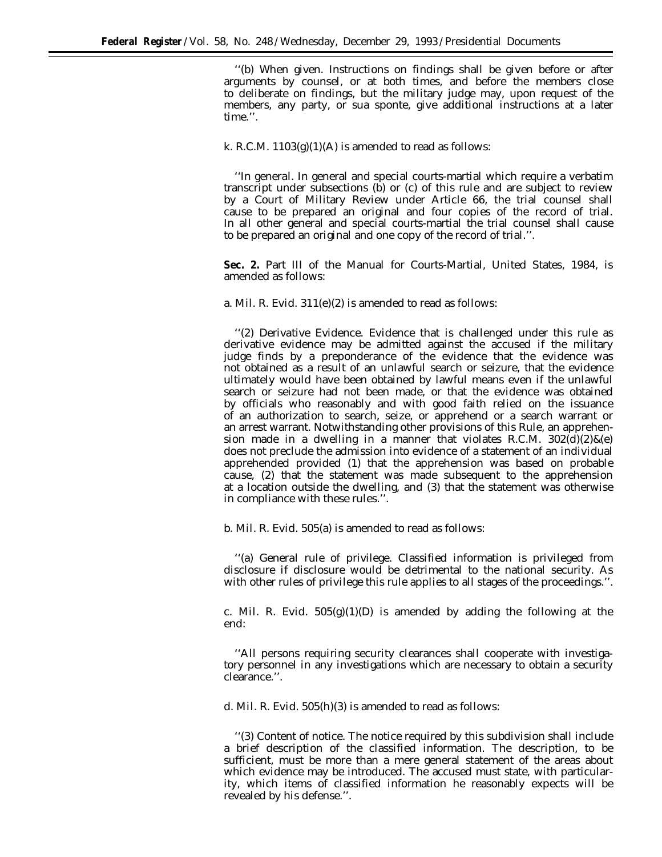''(b) *When given*. Instructions on findings shall be given before or after arguments by counsel, or at both times, and before the members close to deliberate on findings, but the military judge may, upon request of the members, any party, or sua sponte, give additional instructions at a later time.''.

k. R.C.M.  $1103(g)(1)(A)$  is amended to read as follows:

''*In general*. In general and special courts-martial which require a verbatim transcript under subsections (b) or (c) of this rule and are subject to review by a Court of Military Review under Article 66, the trial counsel shall cause to be prepared an original and four copies of the record of trial. In all other general and special courts-martial the trial counsel shall cause to be prepared an original and one copy of the record of trial.''.

**Sec. 2.** Part III of the Manual for Courts-Martial, United States, 1984, is amended as follows:

a. Mil. R. Evid.  $311(e)(2)$  is amended to read as follows:

''(2) *Derivative Evidence*. Evidence that is challenged under this rule as derivative evidence may be admitted against the accused if the military judge finds by a preponderance of the evidence that the evidence was not obtained as a result of an unlawful search or seizure, that the evidence ultimately would have been obtained by lawful means even if the unlawful search or seizure had not been made, or that the evidence was obtained by officials who reasonably and with good faith relied on the issuance of an authorization to search, seize, or apprehend or a search warrant or an arrest warrant. Notwithstanding other provisions of this Rule, an apprehension made in a dwelling in a manner that violates R.C.M.  $302(d)(2)$ &(e) does not preclude the admission into evidence of a statement of an individual apprehended provided (1) that the apprehension was based on probable cause, (2) that the statement was made subsequent to the apprehension at a location outside the dwelling, and (3) that the statement was otherwise in compliance with these rules.''.

b. Mil. R. Evid. 505(a) is amended to read as follows:

''(a) *General rule of privilege.* Classified information is privileged from disclosure if disclosure would be detrimental to the national security. As with other rules of privilege this rule applies to all stages of the proceedings.''.

c. Mil. R. Evid.  $505(g)(1)(D)$  is amended by adding the following at the end:

''All persons requiring security clearances shall cooperate with investigatory personnel in any investigations which are necessary to obtain a security clearance.''.

d. Mil. R. Evid. 505(h)(3) is amended to read as follows:

''(3) *Content of notice.* The notice required by this subdivision shall include a brief description of the classified information. The description, to be sufficient, must be more than a mere general statement of the areas about which evidence may be introduced. The accused must state, with particularity, which items of classified information he reasonably expects will be revealed by his defense.''.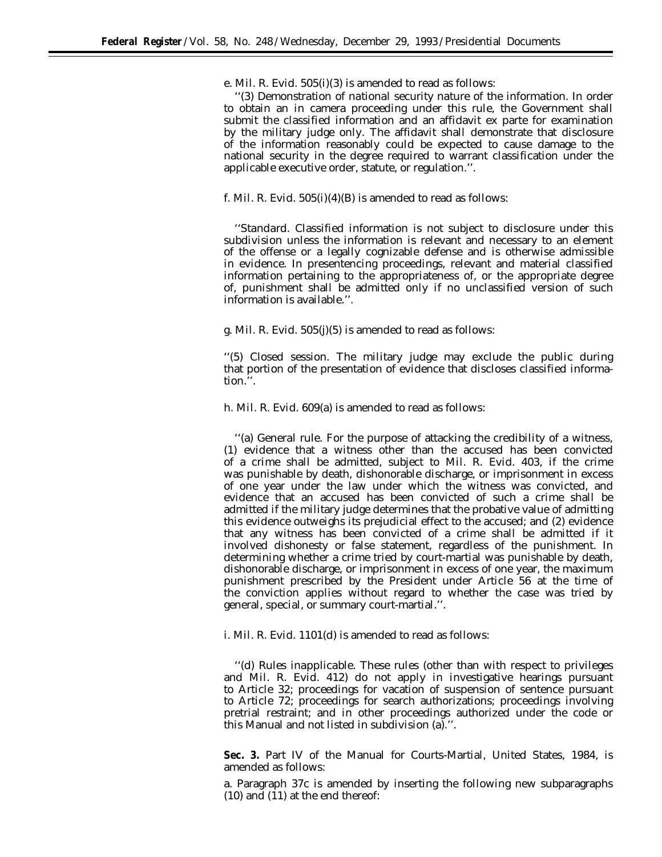e. Mil. R. Evid. 505(i)(3) is amended to read as follows:

''(3) *Demonstration of national security nature of the information.* In order to obtain an in camera proceeding under this rule, the Government shall submit the classified information and an affidavit ex parte for examination by the military judge only. The affidavit shall demonstrate that disclosure of the information reasonably could be expected to cause damage to the national security in the degree required to warrant classification under the applicable executive order, statute, or regulation.''.

f. Mil. R. Evid. 505(i)(4)(B) is amended to read as follows:

''*Standard*. Classified information is not subject to disclosure under this subdivision unless the information is relevant and necessary to an element of the offense or a legally cognizable defense and is otherwise admissible in evidence. In presentencing proceedings, relevant and material classified information pertaining to the appropriateness of, or the appropriate degree of, punishment shall be admitted only if no unclassified version of such information is available.''.

g. Mil. R. Evid. 505(j)(5) is amended to read as follows:

''(5) *Closed session*. The military judge may exclude the public during that portion of the presentation of evidence that discloses classified information.''.

h. Mil. R. Evid. 609(a) is amended to read as follows:

''(a) *General rule*. For the purpose of attacking the credibility of a witness, (1) evidence that a witness other than the accused has been convicted of a crime shall be admitted, subject to Mil. R. Evid. 403, if the crime was punishable by death, dishonorable discharge, or imprisonment in excess of one year under the law under which the witness was convicted, and evidence that an accused has been convicted of such a crime shall be admitted if the military judge determines that the probative value of admitting this evidence outweighs its prejudicial effect to the accused; and (2) evidence that any witness has been convicted of a crime shall be admitted if it involved dishonesty or false statement, regardless of the punishment. In determining whether a crime tried by court-martial was punishable by death, dishonorable discharge, or imprisonment in excess of one year, the maximum punishment prescribed by the President under Article 56 at the time of the conviction applies without regard to whether the case was tried by general, special, or summary court-martial.''.

i. Mil. R. Evid. 1101(d) is amended to read as follows:

''(d) *Rules inapplicable*. These rules (other than with respect to privileges and Mil. R. Evid. 412) do not apply in investigative hearings pursuant to Article 32; proceedings for vacation of suspension of sentence pursuant to Article 72; proceedings for search authorizations; proceedings involving pretrial restraint; and in other proceedings authorized under the code or this Manual and not listed in subdivision (a).''.

Sec. 3. Part IV of the Manual for Courts-Martial, United States, 1984, is amended as follows:

a. Paragraph 37c is amended by inserting the following new subparagraphs (10) and (11) at the end thereof: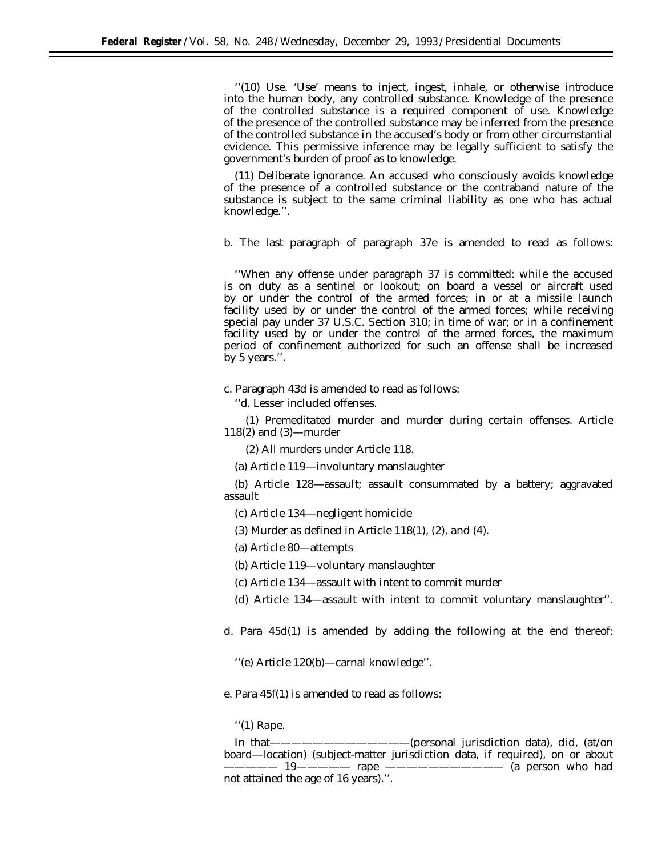''(10) *Use*. 'Use' means to inject, ingest, inhale, or otherwise introduce into the human body, any controlled substance. Knowledge of the presence of the controlled substance is a required component of use. Knowledge of the presence of the controlled substance may be inferred from the presence of the controlled substance in the accused's body or from other circumstantial evidence. This permissive inference may be legally sufficient to satisfy the government's burden of proof as to knowledge.

(11) *Deliberate ignorance*. An accused who consciously avoids knowledge of the presence of a controlled substance or the contraband nature of the substance is subject to the same criminal liability as one who has actual knowledge.''.

b. The last paragraph of paragraph 37e is amended to read as follows:

''When any offense under paragraph 37 is committed: while the accused is on duty as a sentinel or lookout; on board a vessel or aircraft used by or under the control of the armed forces; in or at a missile launch facility used by or under the control of the armed forces; while receiving special pay under 37 U.S.C. Section 310; in time of war; or in a confinement facility used by or under the control of the armed forces, the maximum period of confinement authorized for such an offense shall be increased by 5 years.''.

c. Paragraph 43d is amended to read as follows:

''d. *Lesser included offenses.*

(1) *Premeditated murder and murder during certain offenses.* Article 118(2) and (3)—murder

(2) *All murders under Article 118.*

(a) Article 119—involuntary manslaughter

(b) Article 128—assault; assault consummated by a battery; aggravated assault

(c) Article 134—negligent homicide

(3) *Murder as defined in Article 118(1), (2), and (4).*

(a) Article 80—attempts

(b) Article 119—voluntary manslaughter

(c) Article 134—assault with intent to commit murder

(d) Article 134—assault with intent to commit voluntary manslaughter''.

d. Para  $45d(1)$  is amended by adding the following at the end thereof:

''(e) Article 120(b)—carnal knowledge''.

e. Para 45f(1) is amended to read as follows:

''(1) *Rape.*

In that—————————————(personal jurisdiction data), did, (at/on board—location) (subject-matter jurisdiction data, if required), on or about —— rape ———————————— (a person who had not attained the age of 16 years).''.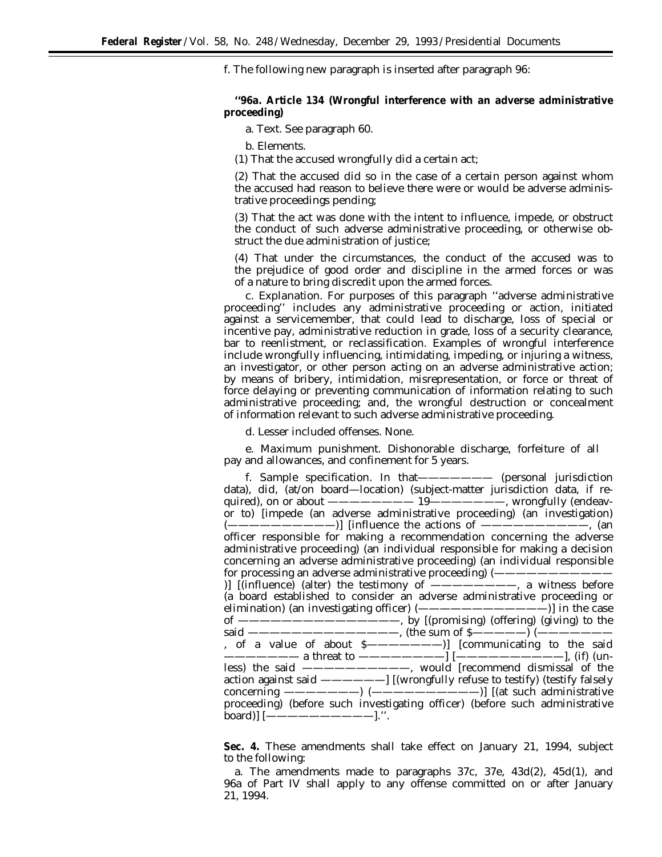f. The following new paragraph is inserted after paragraph 96:

## **''96a. Article 134 (Wrongful interference with an adverse administrative proceeding)**

a. *Text.* See paragraph 60.

b. *Elements.*

(1) That the accused wrongfully did a certain act;

(2) That the accused did so in the case of a certain person against whom the accused had reason to believe there were or would be adverse administrative proceedings pending;

(3) That the act was done with the intent to influence, impede, or obstruct the conduct of such adverse administrative proceeding, or otherwise obstruct the due administration of justice;

(4) That under the circumstances, the conduct of the accused was to the prejudice of good order and discipline in the armed forces or was of a nature to bring discredit upon the armed forces.

c. *Explanation.* For purposes of this paragraph ''adverse administrative proceeding'' includes any administrative proceeding or action, initiated against a servicemember, that could lead to discharge, loss of special or incentive pay, administrative reduction in grade, loss of a security clearance, bar to reenlistment, or reclassification. Examples of wrongful interference include wrongfully influencing, intimidating, impeding, or injuring a witness, an investigator, or other person acting on an adverse administrative action; by means of bribery, intimidation, misrepresentation, or force or threat of force delaying or preventing communication of information relating to such administrative proceeding; and, the wrongful destruction or concealment of information relevant to such adverse administrative proceeding.

d. *Lesser included offenses.* None.

e. *Maximum punishment.* Dishonorable discharge, forfeiture of all pay and allowances, and confinement for 5 years.

| f. Sample specification. In that———————— (personal jurisdiction                                                                                                                                                                                                                                                                                                                                                                                                                   |
|-----------------------------------------------------------------------------------------------------------------------------------------------------------------------------------------------------------------------------------------------------------------------------------------------------------------------------------------------------------------------------------------------------------------------------------------------------------------------------------|
| data), did, (at/on board—location) (subject-matter jurisdiction data, if re-                                                                                                                                                                                                                                                                                                                                                                                                      |
|                                                                                                                                                                                                                                                                                                                                                                                                                                                                                   |
| or to) [impede (an adverse administrative proceeding) (an investigation)                                                                                                                                                                                                                                                                                                                                                                                                          |
|                                                                                                                                                                                                                                                                                                                                                                                                                                                                                   |
| officer responsible for making a recommendation concerning the adverse                                                                                                                                                                                                                                                                                                                                                                                                            |
| administrative proceeding) (an individual responsible for making a decision                                                                                                                                                                                                                                                                                                                                                                                                       |
| concerning an adverse administrative proceeding) (an individual responsible                                                                                                                                                                                                                                                                                                                                                                                                       |
| for processing an adverse administrative proceeding) (---------------                                                                                                                                                                                                                                                                                                                                                                                                             |
| )] [(influence) (alter) the testimony of ---------, a witness before                                                                                                                                                                                                                                                                                                                                                                                                              |
| (a board established to consider an adverse administrative proceeding or                                                                                                                                                                                                                                                                                                                                                                                                          |
|                                                                                                                                                                                                                                                                                                                                                                                                                                                                                   |
| of $\frac{1}{1}$ of $\frac{1}{1}$ of $\frac{1}{1}$ of $\frac{1}{1}$ of $\frac{1}{1}$ of $\frac{1}{1}$ of $\frac{1}{1}$ of $\frac{1}{1}$ of $\frac{1}{1}$ of $\frac{1}{1}$ of $\frac{1}{1}$ of $\frac{1}{1}$ of $\frac{1}{1}$ of $\frac{1}{1}$ of $\frac{1}{1}$ of $\frac{1}{1}$ of $\frac{1}{1}$                                                                                                                                                                                  |
|                                                                                                                                                                                                                                                                                                                                                                                                                                                                                   |
|                                                                                                                                                                                                                                                                                                                                                                                                                                                                                   |
|                                                                                                                                                                                                                                                                                                                                                                                                                                                                                   |
| less) the said ------------, would [recommend dismissal of the                                                                                                                                                                                                                                                                                                                                                                                                                    |
| action against said -------] [(wrongfully refuse to testify) (testify falsely                                                                                                                                                                                                                                                                                                                                                                                                     |
| concerning $\leftarrow$ $\leftarrow$ $\leftarrow$ $\leftarrow$ $\leftarrow$ $\leftarrow$ $\leftarrow$ $\leftarrow$ $\leftarrow$ $\leftarrow$ $\leftarrow$ $\leftarrow$ $\leftarrow$ $\leftarrow$ $\leftarrow$ $\leftarrow$ $\leftarrow$ $\leftarrow$ $\leftarrow$ $\leftarrow$ $\leftarrow$ $\leftarrow$ $\leftarrow$ $\leftarrow$ $\leftarrow$ $\leftarrow$ $\leftarrow$ $\leftarrow$ $\leftarrow$ $\leftarrow$ $\leftarrow$ $\leftarrow$ $\leftarrow$ $\leftarrow$ $\leftarrow$ |
| proceeding) (before such investigating officer) (before such administrative                                                                                                                                                                                                                                                                                                                                                                                                       |
|                                                                                                                                                                                                                                                                                                                                                                                                                                                                                   |

**Sec. 4.** These amendments shall take effect on January 21, 1994, subject to the following:

a. The amendments made to paragraphs 37c, 37e, 43d(2), 45d(1), and 96a of Part IV shall apply to any offense committed on or after January 21, 1994.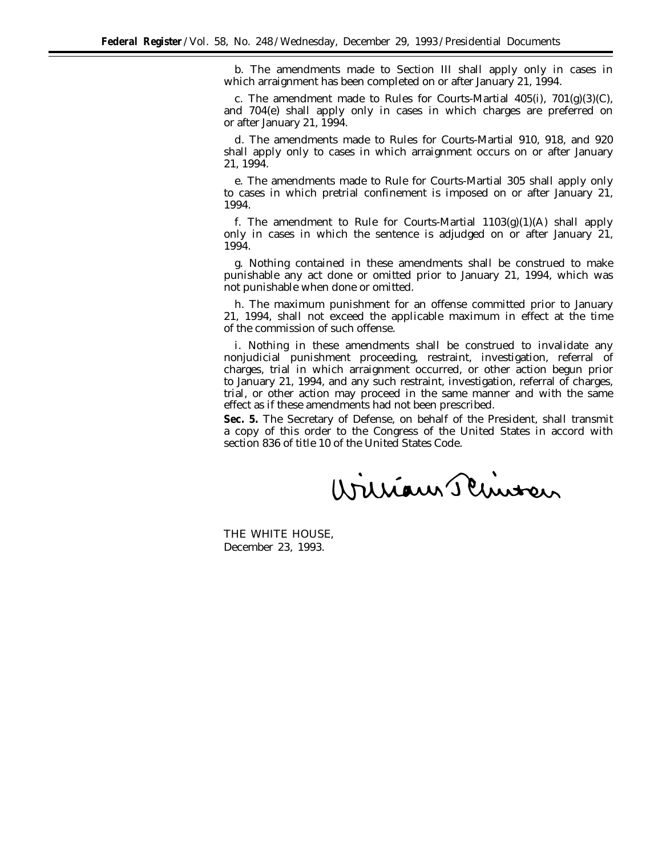b. The amendments made to Section III shall apply only in cases in which arraignment has been completed on or after January 21, 1994.

c. The amendment made to Rules for Courts-Martial  $405(i)$ ,  $701(g)(3)(C)$ , and 704(e) shall apply only in cases in which charges are preferred on or after January 21, 1994.

d. The amendments made to Rules for Courts-Martial 910, 918, and 920 shall apply only to cases in which arraignment occurs on or after January 21, 1994.

e. The amendments made to Rule for Courts-Martial 305 shall apply only to cases in which pretrial confinement is imposed on or after January 21, 1994.

f. The amendment to Rule for Courts-Martial  $1103(g)(1)(A)$  shall apply only in cases in which the sentence is adjudged on or after January 21, 1994.

g. Nothing contained in these amendments shall be construed to make punishable any act done or omitted prior to January 21, 1994, which was not punishable when done or omitted.

h. The maximum punishment for an offense committed prior to January 21, 1994, shall not exceed the applicable maximum in effect at the time of the commission of such offense.

i. Nothing in these amendments shall be construed to invalidate any nonjudicial punishment proceeding, restraint, investigation, referral of charges, trial in which arraignment occurred, or other action begun prior to January 21, 1994, and any such restraint, investigation, referral of charges, trial, or other action may proceed in the same manner and with the same effect as if these amendments had not been prescribed.

**Sec. 5.** The Secretary of Defense, on behalf of the President, shall transmit a copy of this order to the Congress of the United States in accord with section 836 of title 10 of the United States Code.

William Schutzen

THE WHITE HOUSE, *December 23, 1993.*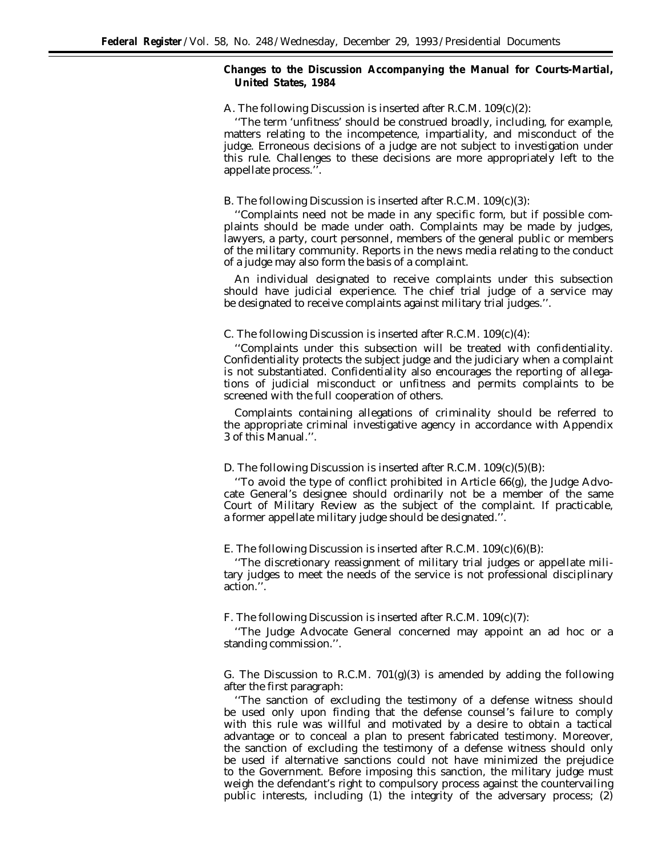## **Changes to the Discussion Accompanying the Manual for Courts-Martial, United States, 1984**

A. The following Discussion is inserted after R.C.M. 109(c)(2):

''The term 'unfitness' should be construed broadly, including, for example, matters relating to the incompetence, impartiality, and misconduct of the judge. Erroneous decisions of a judge are not subject to investigation under this rule. Challenges to these decisions are more appropriately left to the appellate process.''.

B. The following Discussion is inserted after R.C.M. 109(c)(3):

''Complaints need not be made in any specific form, but if possible complaints should be made under oath. Complaints may be made by judges, lawyers, a party, court personnel, members of the general public or members of the military community. Reports in the news media relating to the conduct of a judge may also form the basis of a complaint.

An individual designated to receive complaints under this subsection should have judicial experience. The chief trial judge of a service may be designated to receive complaints against military trial judges.''.

C. The following Discussion is inserted after R.C.M.  $109(c)(4)$ :

''Complaints under this subsection will be treated with confidentiality. Confidentiality protects the subject judge and the judiciary when a complaint is not substantiated. Confidentiality also encourages the reporting of allegations of judicial misconduct or unfitness and permits complaints to be screened with the full cooperation of others.

Complaints containing allegations of criminality should be referred to the appropriate criminal investigative agency in accordance with Appendix 3 of this Manual.''.

D. The following Discussion is inserted after R.C.M.  $109(c)(5)(B)$ :

''To avoid the type of conflict prohibited in Article 66(g), the Judge Advocate General's designee should ordinarily not be a member of the same Court of Military Review as the subject of the complaint. If practicable, a former appellate military judge should be designated.''.

E. The following Discussion is inserted after R.C.M.  $109(c)(6)(B)$ :

''The discretionary reassignment of military trial judges or appellate military judges to meet the needs of the service is not professional disciplinary action.''.

F. The following Discussion is inserted after R.C.M. 109(c)(7):

''The Judge Advocate General concerned may appoint an ad hoc or a standing commission.''.

G. The Discussion to R.C.M. 701 $(g)(3)$  is amended by adding the following after the first paragraph:

''The sanction of excluding the testimony of a defense witness should be used only upon finding that the defense counsel's failure to comply with this rule was willful and motivated by a desire to obtain a tactical advantage or to conceal a plan to present fabricated testimony. Moreover, the sanction of excluding the testimony of a defense witness should only be used if alternative sanctions could not have minimized the prejudice to the Government. Before imposing this sanction, the military judge must weigh the defendant's right to compulsory process against the countervailing public interests, including (1) the integrity of the adversary process; (2)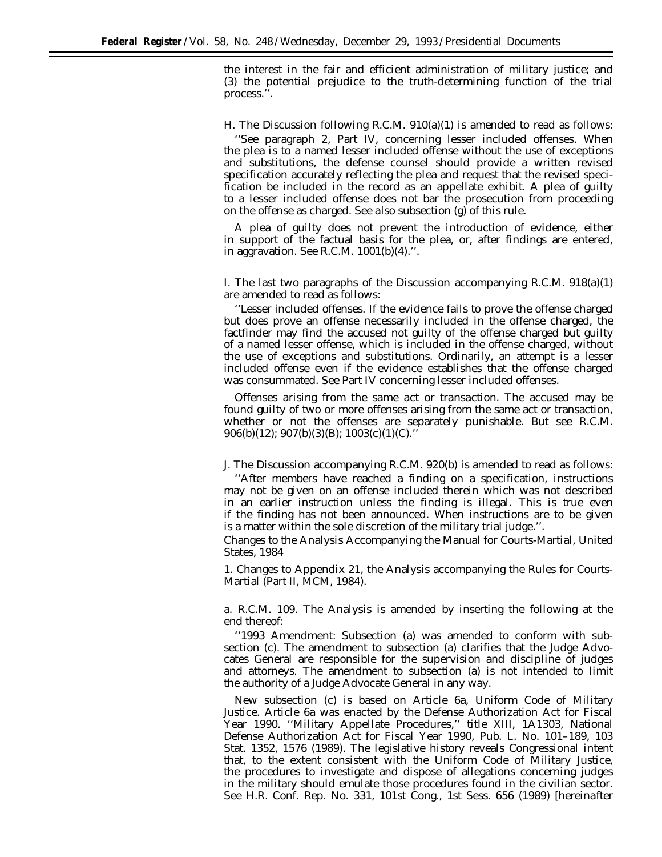the interest in the fair and efficient administration of military justice; and (3) the potential prejudice to the truth-determining function of the trial process.''.

H. The Discussion following R.C.M. 910(a)(1) is amended to read as follows: ''*See* paragraph 2, Part IV, concerning lesser included offenses. When the plea is to a named lesser included offense without the use of exceptions and substitutions, the defense counsel should provide a written revised specification accurately reflecting the plea and request that the revised specification be included in the record as an appellate exhibit. A plea of guilty to a lesser included offense does not bar the prosecution from proceeding on the offense as charged. *See also* subsection (g) of this rule.

A plea of guilty does not prevent the introduction of evidence, either in support of the factual basis for the plea, or, after findings are entered, in aggravation. *See* R.C.M. 1001(b)(4).''.

I. The last two paragraphs of the Discussion accompanying  $R.C.M. 918(a)(1)$ are amended to read as follows:

''*Lesser included offenses*. If the evidence fails to prove the offense charged but does prove an offense necessarily included in the offense charged, the factfinder may find the accused not guilty of the offense charged but guilty of a named lesser offense, which is included in the offense charged, without the use of exceptions and substitutions. Ordinarily, an attempt is a lesser included offense even if the evidence establishes that the offense charged was consummated. *See* Part IV concerning lesser included offenses.

*Offenses arising from the same act or transaction*. The accused may be found guilty of two or more offenses arising from the same act or transaction, whether or not the offenses are separately punishable. *But see* R.C.M. 906(b)(12); 907(b)(3)(B); 1003(c)(1)(C).'

J. The Discussion accompanying R.C.M. 920(b) is amended to read as follows:

''After members have reached a finding on a specification, instructions may not be given on an offense included therein which was not described in an earlier instruction unless the finding is illegal. This is true even if the finding has not been announced. When instructions are to be given is a matter within the sole discretion of the military trial judge.''.

Changes to the Analysis Accompanying the Manual for Courts-Martial, United States, 1984

1. Changes to Appendix 21, the Analysis accompanying the Rules for Courts-Martial (Part II, MCM, 1984).

a. R.C.M. 109. The Analysis is amended by inserting the following at the end thereof:

''*1993 Amendment*: Subsection (a) was amended to conform with subsection (c). The amendment to subsection (a) clarifies that the Judge Advocates General are responsible for the supervision and discipline of judges and attorneys. The amendment to subsection (a) is not intended to limit the authority of a Judge Advocate General in any way.

New subsection (c) is based on Article 6a, Uniform Code of Military Justice. Article 6a was enacted by the Defense Authorization Act for Fiscal Year 1990. "Military Appellate Procedures," title XIII, 1A1303, National Defense Authorization Act for Fiscal Year 1990, Pub. L. No. 101–189, 103 Stat. 1352, 1576 (1989). The legislative history reveals Congressional intent that, to the extent consistent with the Uniform Code of Military Justice, the procedures to investigate and dispose of allegations concerning judges in the military should emulate those procedures found in the civilian sector. *See H.R. Conf. Rep. No. 331, 101st Cong., 1st Sess. 656 (1989) [hereinafter*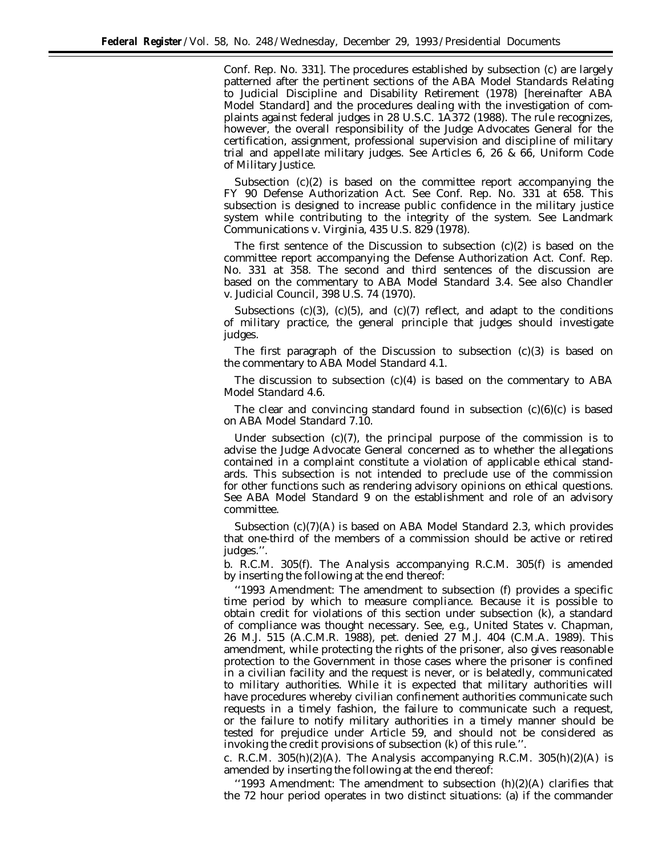*Conf. Rep. No. 331].* The procedures established by subsection (c) are largely patterned after the pertinent sections of the *ABA Model Standards Relating to Judicial Discipline and Disability Retirement (1978) [hereinafter ABA Model Standard]* and the procedures dealing with the investigation of complaints against federal judges in *28 U.S.C. 1A372 (1988)*. The rule recognizes, however, the overall responsibility of the Judge Advocates General for the certification, assignment, professional supervision and discipline of military trial and appellate military judges. *See* Articles 6, 26 & 66, Uniform Code of Military Justice.

Subsection  $(c)(2)$  is based on the committee report accompanying the FY 90 Defense Authorization Act. *See Conf. Rep. No. 331 at 658.* This subsection is designed to increase public confidence in the military justice system while contributing to the integrity of the system. See Landmark Communications v. Virginia, 435 U.S. 829 (1978).

The first sentence of the Discussion to subsection  $(c)(2)$  is based on the committee report accompanying the Defense Authorization Act. *Conf. Rep. No. 331 at 358.* The second and third sentences of the discussion are based on the commentary to *ABA Model Standard 3.4. See also Chandler v. Judicial Council,* 398 U.S. 74 (1970).

Subsections  $(c)(3)$ ,  $(c)(5)$ , and  $(c)(7)$  reflect, and adapt to the conditions of military practice, the general principle that judges should investigate judges.

The first paragraph of the Discussion to subsection  $(c)(3)$  is based on the commentary to *ABA Model Standard 4.1*.

The discussion to subsection (c)(4) is based on the commentary to *ABA Model Standard 4.6*.

The clear and convincing standard found in subsection  $(c)(6)(c)$  is based on *ABA Model Standard 7.10*.

Under subsection  $(c)(7)$ , the principal purpose of the commission is to advise the Judge Advocate General concerned as to whether the allegations contained in a complaint constitute a violation of applicable ethical standards. This subsection is not intended to preclude use of the commission for other functions such as rendering advisory opinions on ethical questions. *See ABA Model Standard 9* on the establishment and role of an advisory committee.

Subsection (c)(7)(A) is based on *ABA Model Standard 2.3*, which provides that one-third of the members of a commission should be active or retired judges.''.

b. R.C.M. 305(f). The Analysis accompanying R.C.M. 305(f) is amended by inserting the following at the end thereof:

''*1993 Amendment*: The amendment to subsection (f) provides a specific time period by which to measure compliance. Because it is possible to obtain credit for violations of this section under subsection (k), a standard of compliance was thought necessary. *See, e.g., United States v. Chapman*, 26 M.J. 515 (A.C.M.R. 1988), *pet. denied* 27 M.J. 404 (C.M.A. 1989). This amendment, while protecting the rights of the prisoner, also gives reasonable protection to the Government in those cases where the prisoner is confined in a civilian facility and the request is never, or is belatedly, communicated to military authorities. While it is expected that military authorities will have procedures whereby civilian confinement authorities communicate such requests in a timely fashion, the failure to communicate such a request, or the failure to notify military authorities in a timely manner should be tested for prejudice under Article 59, and should not be considered as invoking the credit provisions of subsection (k) of this rule.''.

c. R.C.M.  $305(h)(2)(A)$ . The Analysis accompanying R.C.M.  $305(h)(2)(A)$  is amended by inserting the following at the end thereof:

''*1993 Amendment*: The amendment to subsection (h)(2)(A) clarifies that the 72 hour period operates in two distinct situations: (a) if the commander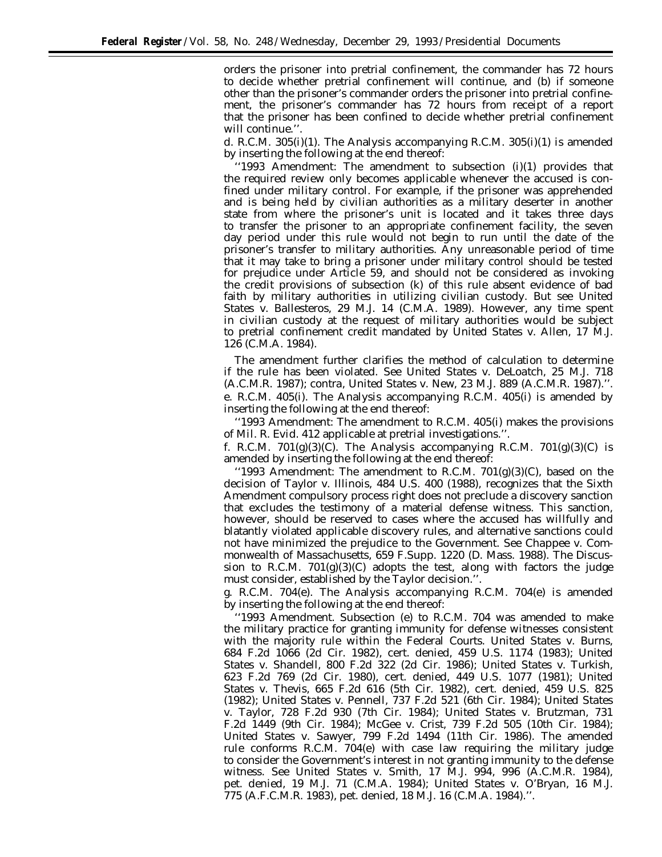orders the prisoner into pretrial confinement, the commander has 72 hours to decide whether pretrial confinement will continue, and (b) if someone other than the prisoner's commander orders the prisoner into pretrial confinement, the prisoner's commander has 72 hours from receipt of a report that the prisoner has been confined to decide whether pretrial confinement will continue.''.

d. R.C.M. 305(i)(1). The Analysis accompanying R.C.M. 305(i)(1) is amended by inserting the following at the end thereof:

''*1993 Amendment*: The amendment to subsection (i)(1) provides that the required review only becomes applicable whenever the accused is confined under military control. For example, if the prisoner was apprehended and is being held by civilian authorities as a military deserter in another state from where the prisoner's unit is located and it takes three days to transfer the prisoner to an appropriate confinement facility, the seven day period under this rule would not begin to run until the date of the prisoner's transfer to military authorities. Any unreasonable period of time that it may take to bring a prisoner under military control should be tested for prejudice under Article 59, and should not be considered as invoking the credit provisions of subsection (k) of this rule absent evidence of bad faith by military authorities in utilizing civilian custody. *But see United States v. Ballesteros,* 29 M.J. 14 (C.M.A. 1989). However, any time spent in civilian custody at the request of military authorities would be subject to pretrial confinement credit mandated by *United States v. Allen*, 17 M.J. 126 (C.M.A. 1984).

The amendment further clarifies the method of calculation to determine if the rule has been violated. *See United States v. DeLoatch*, 25 M.J. 718 (A.C.M.R. 1987); *contra, United States v. New*, 23 M.J. 889 (A.C.M.R. 1987).''. e. R.C.M. 405(i). The Analysis accompanying R.C.M. 405(i) is amended by inserting the following at the end thereof:

''*1993 Amendment*: The amendment to R.C.M. 405(i) makes the provisions of Mil. R. Evid. 412 applicable at pretrial investigations.''.

f. R.C.M. 701(g)(3)(C). The Analysis accompanying R.C.M. 701(g)(3)(C) is amended by inserting the following at the end thereof:

''*1993 Amendment*: The amendment to R.C.M. 701(g)(3)(C), based on the decision of *Taylor v. Illinois*, 484 U.S. 400 (1988), recognizes that the Sixth Amendment compulsory process right does not preclude a discovery sanction that excludes the testimony of a material defense witness. This sanction, however, should be reserved to cases where the accused has willfully and blatantly violated applicable discovery rules, and alternative sanctions could not have minimized the prejudice to the Government. *See Chappee v. Commonwealth of Massachusetts,* 659 F.Supp. 1220 (D. Mass. 1988). The Discussion to R.C.M.  $701(g)(3)(C)$  adopts the test, along with factors the judge must consider, established by the *Taylor* decision.''.

g. R.C.M. 704(e). The Analysis accompanying R.C.M. 704(e) is amended by inserting the following at the end thereof:

''*1993 Amendment*. Subsection (e) to R.C.M. 704 was amended to make the military practice for granting immunity for defense witnesses consistent with the majority rule within the Federal Courts. *United States v. Burns*, 684 F.2d 1066 (2d Cir. 1982), *cert. denied*, 459 U.S. 1174 (1983); *United States v. Shandell*, 800 F.2d 322 (2d Cir. 1986); *United States v. Turkish*, 623 F.2d 769 (2d Cir. 1980), *cert. denied*, 449 U.S. 1077 (1981); *United States v. Thevis,* 665 F.2d 616 (5th Cir. 1982), *cert. denied*, 459 U.S. 825 (1982); *United States v. Pennell*, 737 F.2d 521 (6th Cir. 1984); *United States v. Taylor*, 728 F.2d 930 (7th Cir. 1984); *United States v. Brutzman,* 731 F.2d 1449 (9th Cir. 1984); *McGee v. Crist*, 739 F.2d 505 (10th Cir. 1984); *United States v. Sawyer*, 799 F.2d 1494 (11th Cir. 1986). The amended rule conforms R.C.M. 704(e) with case law requiring the military judge to consider the Government's interest in not granting immunity to the defense witness. *See United States v. Smith*, 17 M.J. 994, 996 (A.C.M.R. 1984), *pet. denied*, 19 M.J. 71 (C.M.A. 1984); *United States v. O'Bryan*, 16 M.J. 775 (A.F.C.M.R. 1983), *pet. denied*, 18 M.J. 16 (C.M.A. 1984).''.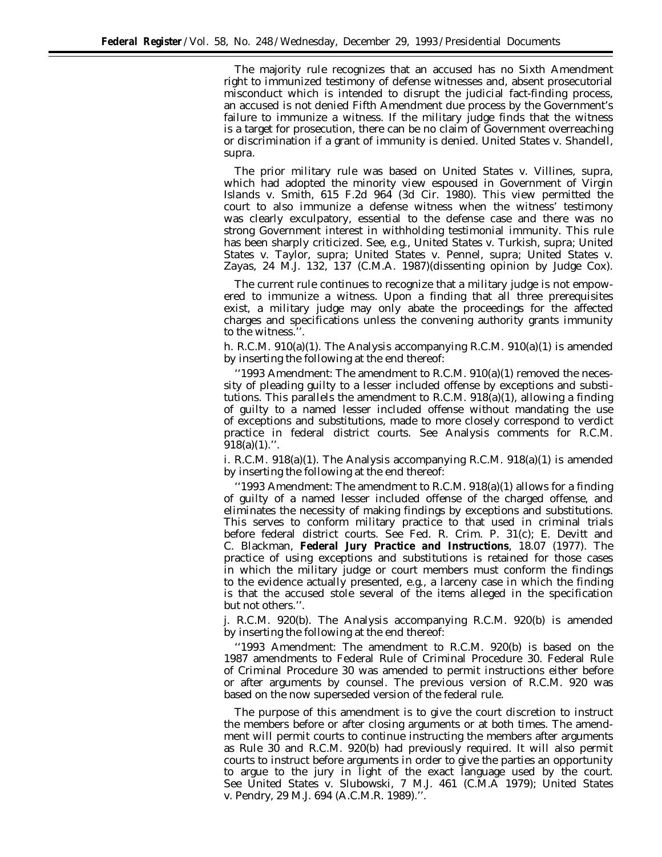The majority rule recognizes that an accused has no Sixth Amendment right to immunized testimony of defense witnesses and, absent prosecutorial misconduct which is intended to disrupt the judicial fact-finding process, an accused is not denied Fifth Amendment due process by the Government's failure to immunize a witness. If the military judge finds that the witness is a target for prosecution, there can be no claim of Government overreaching or discrimination if a grant of immunity is denied. *United States v. Shandell, supra*.

The prior military rule was based on *United States v. Villines, supra*, which had adopted the minority view espoused in *Government of Virgin Islands v. Smith*, 615 F.2d 964 (3d Cir. 1980). This view permitted the court to also immunize a defense witness when the witness' testimony was clearly exculpatory, essential to the defense case and there was no strong Government interest in withholding testimonial immunity. This rule has been sharply criticized. *See, e.g., United States v. Turkish, supra; United States v. Taylor, supra; United States v. Pennel, supra; United States v. Zayas*, 24 M.J. 132, 137 (C.M.A. 1987)(dissenting opinion by Judge Cox).

The current rule continues to recognize that a military judge is not empowered to immunize a witness. Upon a finding that all three prerequisites exist, a military judge may only abate the proceedings for the affected charges and specifications unless the convening authority grants immunity to the witness.''.

h. R.C.M. 910(a)(1). The Analysis accompanying R.C.M. 910(a)(1) is amended by inserting the following at the end thereof:

''*1993 Amendment*: The amendment to R.C.M. 910(a)(1) removed the necessity of pleading guilty to a lesser included offense by exceptions and substitutions. This parallels the amendment to R.C.M. 918(a)(1), allowing a finding of guilty to a named lesser included offense without mandating the use of exceptions and substitutions, made to more closely correspond to verdict practice in federal district courts. *See* Analysis comments for R.C.M.  $918(a)(1)$ .".

i. R.C.M. 918(a)(1). The Analysis accompanying R.C.M. 918(a)(1) is amended by inserting the following at the end thereof:

''*1993 Amendment*: The amendment to R.C.M. 918(a)(1) allows for a finding of guilty of a named lesser included offense of the charged offense, and eliminates the necessity of making findings by exceptions and substitutions. This serves to conform military practice to that used in criminal trials before federal district courts. *See* Fed. R. Crim. P. 31(c); E. Devitt and C. Blackman, **Federal Jury Practice and Instructions**, 18.07 (1977). The practice of using exceptions and substitutions is retained for those cases in which the military judge or court members must conform the findings to the evidence actually presented, *e.g.*, a larceny case in which the finding is that the accused stole several of the items alleged in the specification but not others.''.

j. R.C.M. 920(b). The Analysis accompanying R.C.M. 920(b) is amended by inserting the following at the end thereof:

''*1993 Amendment*: The amendment to R.C.M. 920(b) is based on the 1987 amendments to Federal Rule of Criminal Procedure 30. Federal Rule of Criminal Procedure 30 was amended to permit instructions either before or after arguments by counsel. The previous version of R.C.M. 920 was based on the now superseded version of the federal rule.

The purpose of this amendment is to give the court discretion to instruct the members before or after closing arguments or at both times. The amendment will permit courts to continue instructing the members after arguments as Rule 30 and R.C.M. 920(b) had previously required. It will also permit courts to instruct before arguments in order to give the parties an opportunity to argue to the jury in light of the exact language used by the court. *See United States v. Slubowski*, 7 M.J. 461 (C.M.A 1979); *United States v. Pendry*, 29 M.J. 694 (A.C.M.R. 1989).''.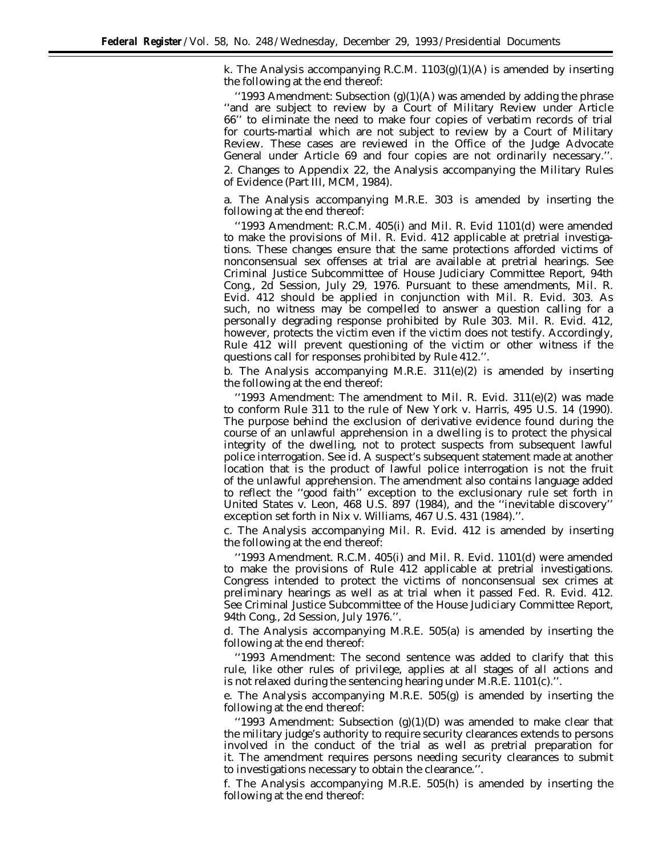k. The Analysis accompanying R.C.M.  $1103(g)(1)(A)$  is amended by inserting the following at the end thereof:

''*1993 Amendment*: Subsection (g)(1)(A) was amended by adding the phrase ''and are subject to review by a Court of Military Review under Article 66'' to eliminate the need to make four copies of verbatim records of trial for courts-martial which are not subject to review by a Court of Military Review. These cases are reviewed in the Office of the Judge Advocate General under Article 69 and four copies are not ordinarily necessary.''. 2. Changes to Appendix 22, the Analysis accompanying the Military Rules of Evidence (Part III, MCM, 1984).

a. The Analysis accompanying M.R.E. 303 is amended by inserting the following at the end thereof:

''*1993 Amendment*: R.C.M. 405(i) and Mil. R. Evid 1101(d) were amended to make the provisions of Mil. R. Evid. 412 applicable at pretrial investigations. These changes ensure that the same protections afforded victims of nonconsensual sex offenses at trial are available at pretrial hearings. *See* Criminal Justice Subcommittee of House Judiciary Committee Report, 94th Cong., 2d Session, July 29, 1976. Pursuant to these amendments, Mil. R. Evid. 412 should be applied in conjunction with Mil. R. Evid. 303. As such, no witness may be compelled to answer a question calling for a personally degrading response prohibited by Rule 303. Mil. R. Evid. 412, however, protects the victim even if the victim does not testify. Accordingly, Rule 412 will prevent questioning of the victim or other witness if the questions call for responses prohibited by Rule 412.''.

b. The Analysis accompanying M.R.E. 311(e)(2) is amended by inserting the following at the end thereof:

''*1993 Amendment*: The amendment to Mil. R. Evid. 311(e)(2) was made to conform Rule 311 to the rule of *New York* v. *Harris,* 495 U.S. 14 (1990). The purpose behind the exclusion of derivative evidence found during the course of an unlawful apprehension in a dwelling is to protect the physical integrity of the dwelling, not to protect suspects from subsequent lawful police interrogation. *See id.* A suspect's subsequent statement made at another location that is the product of lawful police interrogation is not the fruit of the unlawful apprehension. The amendment also contains language added to reflect the ''good faith'' exception to the exclusionary rule set forth in *United States v. Leon*, 468 U.S. 897 (1984), and the ''inevitable discovery'' exception set forth in *Nix v. Williams*, 467 U.S. 431 (1984).''.

c. The Analysis accompanying Mil. R. Evid. 412 is amended by inserting the following at the end thereof:

''*1993 Amendment*. R.C.M. 405(i) and Mil. R. Evid. 1101(d) were amended to make the provisions of Rule 412 applicable at pretrial investigations. Congress intended to protect the victims of nonconsensual sex crimes at preliminary hearings as well as at trial when it passed Fed. R. Evid. 412. *See* Criminal Justice Subcommittee of the House Judiciary Committee Report, 94th Cong., 2d Session, July 1976.''.

d. The Analysis accompanying M.R.E. 505(a) is amended by inserting the following at the end thereof:

''*1993 Amendment*: The second sentence was added to clarify that this rule, like other rules of privilege, applies at all stages of all actions and is not relaxed during the sentencing hearing under M.R.E. 1101(c).''.

e. The Analysis accompanying M.R.E. 505(g) is amended by inserting the following at the end thereof:

''*1993 Amendment*: Subsection (g)(1)(D) was amended to make clear that the military judge's authority to require security clearances extends to persons involved in the conduct of the trial as well as pretrial preparation for it. The amendment requires persons needing security clearances to submit to investigations necessary to obtain the clearance.''.

f. The Analysis accompanying M.R.E. 505(h) is amended by inserting the following at the end thereof: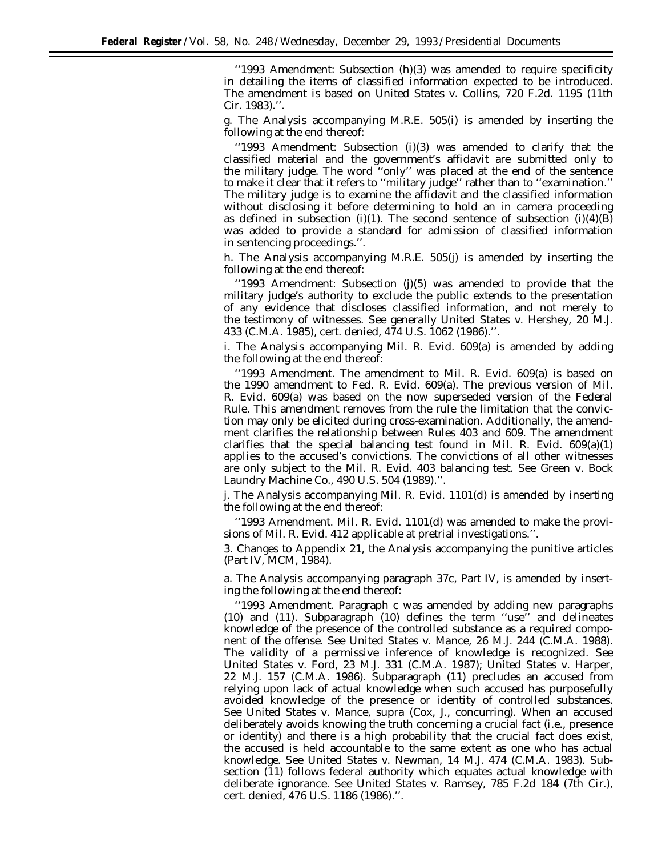''*1993 Amendment*: Subsection (h)(3) was amended to require specificity in detailing the items of classified information expected to be introduced. The amendment is based on *United States v. Collins*, 720 F.2d. 1195 (11th Cir. 1983).''.

g. The Analysis accompanying M.R.E. 505(i) is amended by inserting the following at the end thereof:

''*1993 Amendment*: Subsection (i)(3) was amended to clarify that the classified material and the government's affidavit are submitted only to the military judge. The word ''only'' was placed at the end of the sentence to make it clear that it refers to ''military judge'' rather than to ''examination.'' The military judge is to examine the affidavit and the classified information without disclosing it before determining to hold an in camera proceeding as defined in subsection (i)(1). The second sentence of subsection (i)(4)(B) was added to provide a standard for admission of classified information in sentencing proceedings.''.

h. The Analysis accompanying M.R.E. 505(j) is amended by inserting the following at the end thereof:

''*1993 Amendment*: Subsection (j)(5) was amended to provide that the military judge's authority to exclude the public extends to the presentation of any evidence that discloses classified information, and not merely to the testimony of witnesses. *See generally United States v. Hershey*, 20 M.J. 433 (C.M.A. 1985), *cert. denied*, 474 U.S. 1062 (1986).''.

i. The Analysis accompanying Mil. R. Evid. 609(a) is amended by adding the following at the end thereof:

''*1993 Amendment*. The amendment to Mil. R. Evid. 609(a) is based on the 1990 amendment to Fed. R. Evid. 609(a). The previous version of Mil. R. Evid. 609(a) was based on the now superseded version of the Federal Rule. This amendment removes from the rule the limitation that the conviction may only be elicited during cross-examination. Additionally, the amendment clarifies the relationship between Rules 403 and 609. The amendment clarifies that the special balancing test found in Mil. R. Evid.  $609(a)(1)$ applies to the accused's convictions. The convictions of all other witnesses are only subject to the Mil. R. Evid. 403 balancing test. *See Green v. Bock Laundry Machine Co.*, 490 U.S. 504 (1989).''.

j. The Analysis accompanying Mil. R. Evid. 1101(d) is amended by inserting the following at the end thereof:

''*1993 Amendment*. Mil. R. Evid. 1101(d) was amended to make the provisions of Mil. R. Evid. 412 applicable at pretrial investigations.''.

3. Changes to Appendix 21, the Analysis accompanying the punitive articles (Part IV, MCM, 1984).

a. The Analysis accompanying paragraph 37c, Part IV, is amended by inserting the following at the end thereof:

''*1993 Amendment*. Paragraph c was amended by adding new paragraphs (10) and (11). Subparagraph (10) defines the term ''use'' and delineates knowledge of the presence of the controlled substance as a required component of the offense. *See United States v. Mance*, 26 M.J. 244 (C.M.A. 1988). The validity of a permissive inference of knowledge is recognized. *See United States v. Ford*, 23 M.J. 331 (C.M.A. 1987); *United States v. Harper*, 22 M.J. 157 (C.M.A. 1986). Subparagraph (11) precludes an accused from relying upon lack of actual knowledge when such accused has purposefully avoided knowledge of the presence or identity of controlled substances. *See United States v. Mance, supra* (Cox, J., concurring). When an accused deliberately avoids knowing the truth concerning a crucial fact (i.e., presence or identity) and there is a high probability that the crucial fact does exist, the accused is held accountable to the same extent as one who has actual knowledge. *See United States v. Newman*, 14 M.J. 474 (C.M.A. 1983). Subsection (11) follows federal authority which equates actual knowledge with deliberate ignorance. *See United States v. Ramsey*, 785 F.2d 184 (7th Cir.), *cert. denied*, 476 U.S. 1186 (1986).''.